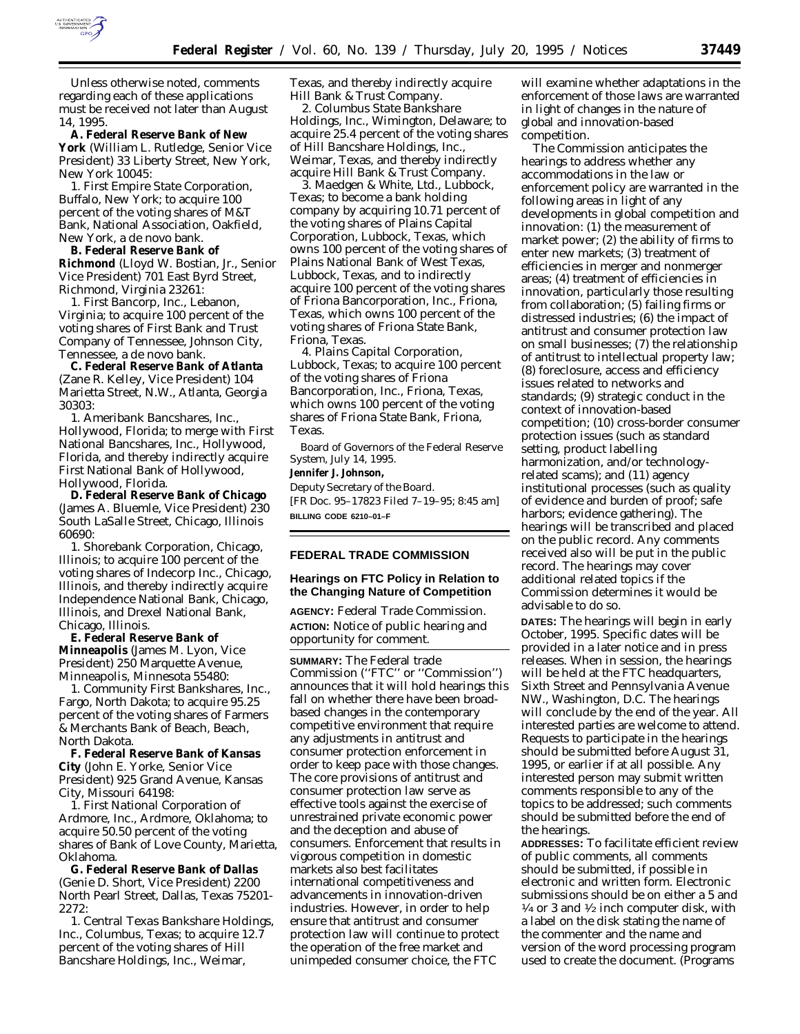

Unless otherwise noted, comments regarding each of these applications must be received not later than August 14, 1995.

**A. Federal Reserve Bank of New York** (William L. Rutledge, Senior Vice President) 33 Liberty Street, New York, New York 10045:

*1. First Empire State Corporation*, Buffalo, New York; to acquire 100 percent of the voting shares of M&T Bank, National Association, Oakfield, New York, a *de novo* bank.

**B. Federal Reserve Bank of Richmond** (Lloyd W. Bostian, Jr., Senior Vice President) 701 East Byrd Street, Richmond, Virginia 23261:

*1. First Bancorp, Inc.*, Lebanon, Virginia; to acquire 100 percent of the voting shares of First Bank and Trust Company of Tennessee, Johnson City, Tennessee, a *de novo* bank.

**C. Federal Reserve Bank of Atlanta** (Zane R. Kelley, Vice President) 104 Marietta Street, N.W., Atlanta, Georgia 30303:

*1. Ameribank Bancshares, Inc.*, Hollywood, Florida; to merge with First National Bancshares, Inc., Hollywood, Florida, and thereby indirectly acquire First National Bank of Hollywood, Hollywood, Florida.

**D. Federal Reserve Bank of Chicago** (James A. Bluemle, Vice President) 230 South LaSalle Street, Chicago, Illinois 60690:

*1. Shorebank Corporation*, Chicago, Illinois; to acquire 100 percent of the voting shares of Indecorp Inc., Chicago, Illinois, and thereby indirectly acquire Independence National Bank, Chicago, Illinois, and Drexel National Bank, Chicago, Illinois.

**E. Federal Reserve Bank of Minneapolis** (James M. Lyon, Vice President) 250 Marquette Avenue, Minneapolis, Minnesota 55480:

*1. Community First Bankshares, Inc.*, Fargo, North Dakota; to acquire 95.25 percent of the voting shares of Farmers & Merchants Bank of Beach, Beach, North Dakota.

**F. Federal Reserve Bank of Kansas City** (John E. Yorke, Senior Vice President) 925 Grand Avenue, Kansas City, Missouri 64198:

*1. First National Corporation of Ardmore, Inc.*, Ardmore, Oklahoma; to acquire 50.50 percent of the voting shares of Bank of Love County, Marietta, Oklahoma.

**G. Federal Reserve Bank of Dallas** (Genie D. Short, Vice President) 2200 North Pearl Street, Dallas, Texas 75201- 2272:

*1. Central Texas Bankshare Holdings, Inc.*, Columbus, Texas; to acquire 12.7 percent of the voting shares of Hill Bancshare Holdings, Inc., Weimar,

Texas, and thereby indirectly acquire Hill Bank & Trust Company.

*2. Columbus State Bankshare Holdings, Inc.*, Wimington, Delaware; to acquire 25.4 percent of the voting shares of Hill Bancshare Holdings, Inc., Weimar, Texas, and thereby indirectly acquire Hill Bank & Trust Company.

*3. Maedgen & White, Ltd.*, Lubbock, Texas; to become a bank holding company by acquiring 10.71 percent of the voting shares of Plains Capital Corporation, Lubbock, Texas, which owns 100 percent of the voting shares of Plains National Bank of West Texas, Lubbock, Texas, and to indirectly acquire 100 percent of the voting shares of Friona Bancorporation, Inc., Friona, Texas, which owns 100 percent of the voting shares of Friona State Bank, Friona, Texas.

*4. Plains Capital Corporation*, Lubbock, Texas; to acquire 100 percent of the voting shares of Friona Bancorporation, Inc., Friona, Texas, which owns 100 percent of the voting shares of Friona State Bank, Friona, Texas.

Board of Governors of the Federal Reserve System, July 14, 1995.

**Jennifer J. Johnson,** *Deputy Secretary of the Board.* [FR Doc. 95–17823 Filed 7–19–95; 8:45 am]

**BILLING CODE 6210–01–F**

### **FEDERAL TRADE COMMISSION**

### **Hearings on FTC Policy in Relation to the Changing Nature of Competition**

**AGENCY:** Federal Trade Commission. **ACTION:** Notice of public hearing and opportunity for comment.

**SUMMARY:** The Federal trade Commission (''FTC'' or ''Commission'') announces that it will hold hearings this fall on whether there have been broadbased changes in the contemporary competitive environment that require any adjustments in antitrust and consumer protection enforcement in order to keep pace with those changes. The core provisions of antitrust and consumer protection law serve as effective tools against the exercise of unrestrained private economic power and the deception and abuse of consumers. Enforcement that results in vigorous competition in domestic markets also best facilitates international competitiveness and advancements in innovation-driven industries. However, in order to help ensure that antitrust and consumer protection law will continue to protect the operation of the free market and unimpeded consumer choice, the FTC

will examine whether adaptations in the enforcement of those laws are warranted in light of changes in the nature of global and innovation-based competition.

The Commission anticipates the hearings to address whether any accommodations in the law or enforcement policy are warranted in the following areas in light of any developments in global competition and innovation: (1) the measurement of market power; (2) the ability of firms to enter new markets; (3) treatment of efficiencies in merger and nonmerger areas; (4) treatment of efficiencies in innovation, particularly those resulting from collaboration; (5) failing firms or distressed industries; (6) the impact of antitrust and consumer protection law on small businesses; (7) the relationship of antitrust to intellectual property law; (8) foreclosure, access and efficiency issues related to networks and standards; (9) strategic conduct in the context of innovation-based competition; (10) cross-border consumer protection issues (such as standard setting, product labelling harmonization, and/or technologyrelated scams); and (11) agency institutional processes (such as quality of evidence and burden of proof; safe harbors; evidence gathering). The hearings will be transcribed and placed on the public record. Any comments received also will be put in the public record. The hearings may cover additional related topics if the Commission determines it would be advisable to do so.

**DATES:** The hearings will begin in early October, 1995. Specific dates will be provided in a later notice and in press releases. When in session, the hearings will be held at the FTC headquarters, Sixth Street and Pennsylvania Avenue NW., Washington, D.C. The hearings will conclude by the end of the year. All interested parties are welcome to attend. Requests to participate in the hearings should be submitted before August 31, 1995, or earlier if at all possible. Any interested person may submit written comments responsible to any of the topics to be addressed; such comments should be submitted before the end of the hearings.

**ADDRESSES:** To facilitate efficient review of public comments, all comments should be submitted, if possible in electronic and written form. Electronic submissions should be on either a 5 and  $\frac{1}{4}$  or 3 and  $\frac{1}{2}$  inch computer disk, with a label on the disk stating the name of the commenter and the name and version of the word processing program used to create the document. (Programs